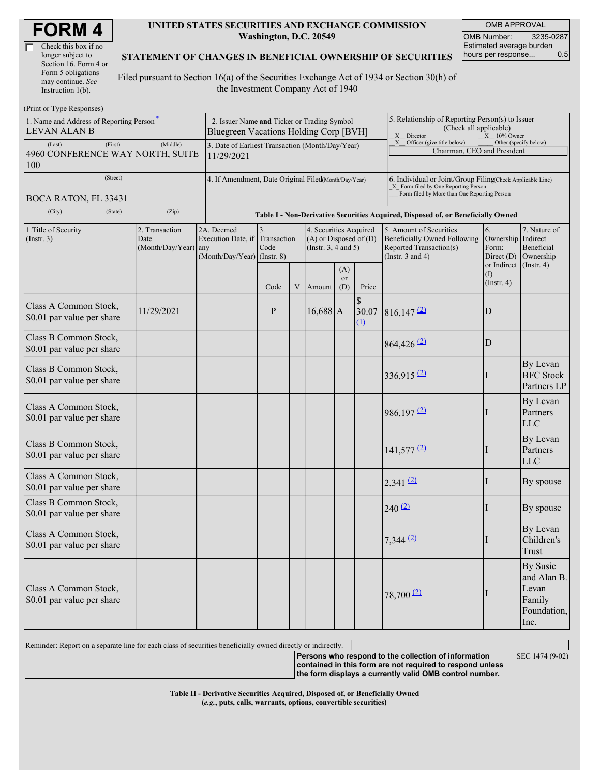| Check this box if no  |  |
|-----------------------|--|
| longer subject to     |  |
| Section 16. Form 4 or |  |
| Form 5 obligations    |  |
| may continue. See     |  |
| Instruction $1(b)$ .  |  |

(Print or Type Responses)

#### **UNITED STATES SECURITIES AND EXCHANGE COMMISSION Washington, D.C. 20549**

OMB APPROVAL OMB Number: 3235-0287 Estimated average burden hours per response... 0.5

#### **STATEMENT OF CHANGES IN BENEFICIAL OWNERSHIP OF SECURITIES**

Filed pursuant to Section 16(a) of the Securities Exchange Act of 1934 or Section 30(h) of the Investment Company Act of 1940

| 1. Name and Address of Reporting Person*<br><b>LEVAN ALAN B</b><br>(First)<br>(Last)<br>4960 CONFERENCE WAY NORTH, SUITE<br>100 | 2. Issuer Name and Ticker or Trading Symbol<br>Bluegreen Vacations Holding Corp [BVH]<br>3. Date of Earliest Transaction (Month/Day/Year)<br>11/29/2021 |                                                                               |                                                                                  |   |                                                                                  | 5. Relationship of Reporting Person(s) to Issuer<br>(Check all applicable)<br>X Director<br>$X = 10\%$ Owner<br>X Officer (give title below)<br>Other (specify below)<br>Chairman, CEO and President |                                                                                                                                                    |                                                                                                             |                                                   |                                                                   |
|---------------------------------------------------------------------------------------------------------------------------------|---------------------------------------------------------------------------------------------------------------------------------------------------------|-------------------------------------------------------------------------------|----------------------------------------------------------------------------------|---|----------------------------------------------------------------------------------|------------------------------------------------------------------------------------------------------------------------------------------------------------------------------------------------------|----------------------------------------------------------------------------------------------------------------------------------------------------|-------------------------------------------------------------------------------------------------------------|---------------------------------------------------|-------------------------------------------------------------------|
| (Street)<br><b>BOCA RATON, FL 33431</b>                                                                                         | 4. If Amendment, Date Original Filed(Month/Day/Year)                                                                                                    |                                                                               |                                                                                  |   |                                                                                  |                                                                                                                                                                                                      | 6. Individual or Joint/Group Filing Check Applicable Line)<br>X Form filed by One Reporting Person<br>Form filed by More than One Reporting Person |                                                                                                             |                                                   |                                                                   |
| (City)<br>(State)                                                                                                               | (Zip)                                                                                                                                                   |                                                                               | Table I - Non-Derivative Securities Acquired, Disposed of, or Beneficially Owned |   |                                                                                  |                                                                                                                                                                                                      |                                                                                                                                                    |                                                                                                             |                                                   |                                                                   |
| 2. Transaction<br>1. Title of Security<br>$($ Instr. 3 $)$<br>Date<br>(Month/Day/Year) any                                      |                                                                                                                                                         | 2A. Deemed<br>Execution Date, if Transaction<br>$(Month/Day/Year)$ (Instr. 8) | 3.<br>Code                                                                       |   | 4. Securities Acquired<br>$(A)$ or Disposed of $(D)$<br>(Instr. $3, 4$ and $5$ ) |                                                                                                                                                                                                      |                                                                                                                                                    | 5. Amount of Securities<br>Beneficially Owned Following<br>Reported Transaction(s)<br>(Instr. $3$ and $4$ ) | 6.<br>Ownership Indirect<br>Form:<br>Direct $(D)$ | 7. Nature of<br>Beneficial<br>Ownership                           |
|                                                                                                                                 |                                                                                                                                                         |                                                                               | Code                                                                             | V | Amount                                                                           | (A)<br>or<br>(D)                                                                                                                                                                                     | Price                                                                                                                                              |                                                                                                             | or Indirect<br>(1)<br>$($ Instr. 4 $)$            | $($ Instr. 4 $)$                                                  |
| Class A Common Stock,<br>\$0.01 par value per share                                                                             | 11/29/2021                                                                                                                                              |                                                                               | P                                                                                |   | $16,688$ A                                                                       |                                                                                                                                                                                                      | \$<br>30.07<br>$\overline{11}$                                                                                                                     | $816,147$ <sup>(2)</sup>                                                                                    | D                                                 |                                                                   |
| Class B Common Stock,<br>\$0.01 par value per share                                                                             |                                                                                                                                                         |                                                                               |                                                                                  |   |                                                                                  |                                                                                                                                                                                                      |                                                                                                                                                    | $864,426$ <sup>(2)</sup>                                                                                    | D                                                 |                                                                   |
| Class B Common Stock,<br>\$0.01 par value per share                                                                             |                                                                                                                                                         |                                                                               |                                                                                  |   |                                                                                  |                                                                                                                                                                                                      |                                                                                                                                                    | $336,915$ <sup>(2)</sup>                                                                                    |                                                   | By Levan<br><b>BFC</b> Stock<br>Partners LP                       |
| Class A Common Stock,<br>\$0.01 par value per share                                                                             |                                                                                                                                                         |                                                                               |                                                                                  |   |                                                                                  |                                                                                                                                                                                                      |                                                                                                                                                    | $986,197$ <sup>(2)</sup>                                                                                    |                                                   | By Levan<br>Partners<br><b>LLC</b>                                |
| Class B Common Stock,<br>\$0.01 par value per share                                                                             |                                                                                                                                                         |                                                                               |                                                                                  |   |                                                                                  |                                                                                                                                                                                                      |                                                                                                                                                    | $141,577$ <sup>(2)</sup>                                                                                    |                                                   | By Levan<br>Partners<br><b>LLC</b>                                |
| Class A Common Stock,<br>\$0.01 par value per share                                                                             |                                                                                                                                                         |                                                                               |                                                                                  |   |                                                                                  |                                                                                                                                                                                                      |                                                                                                                                                    | $2,341$ (2)                                                                                                 |                                                   | By spouse                                                         |
| Class B Common Stock,<br>\$0.01 par value per share                                                                             |                                                                                                                                                         |                                                                               |                                                                                  |   |                                                                                  |                                                                                                                                                                                                      |                                                                                                                                                    | 240(2)                                                                                                      | Ш                                                 | By spouse                                                         |
| Class A Common Stock,<br>\$0.01 par value per share                                                                             |                                                                                                                                                         |                                                                               |                                                                                  |   |                                                                                  |                                                                                                                                                                                                      |                                                                                                                                                    | $7,344$ (2)                                                                                                 |                                                   | By Levan<br>Children's<br>Trust                                   |
| Class A Common Stock,<br>\$0.01 par value per share                                                                             |                                                                                                                                                         |                                                                               |                                                                                  |   |                                                                                  |                                                                                                                                                                                                      |                                                                                                                                                    | 78,700 <sup>(2)</sup>                                                                                       |                                                   | By Susie<br>and Alan B.<br>Levan<br>Family<br>Foundation,<br>Inc. |

Reminder: Report on a separate line for each class of securities beneficially owned directly or indirectly.

**Persons who respond to the collection of information contained in this form are not required to respond unless**

SEC 1474 (9-02)

**the form displays a currently valid OMB control number.**

**Table II - Derivative Securities Acquired, Disposed of, or Beneficially Owned (***e.g.***, puts, calls, warrants, options, convertible securities)**